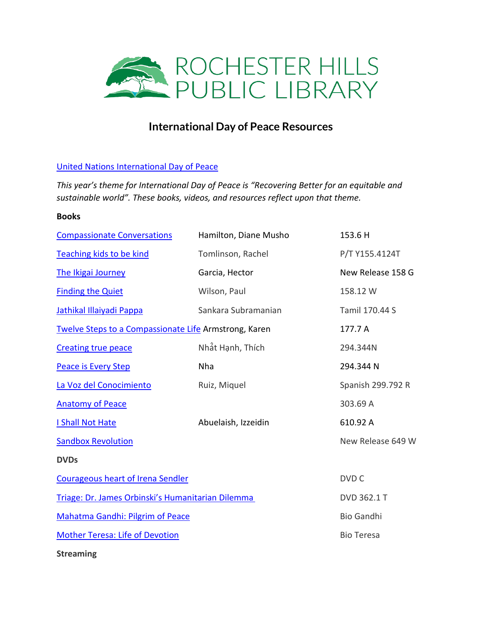

## **International Day of Peace Resources**

## [United Nations International Day of Peace](https://www.un.org/en/observances/international-day-peace#:~:text=Each%20year%20the%20International%20Day,%2Dviolence%20and%20cease%2Dfire.)

*This year's theme for International Day of Peace is "Recovering Better for an equitable and sustainable world". These books, videos, and resources reflect upon that theme.*

## **Books**

| <b>Compassionate Conversations</b>                    | Hamilton, Diane Musho | 153.6 H           |
|-------------------------------------------------------|-----------------------|-------------------|
| Teaching kids to be kind                              | Tomlinson, Rachel     | P/T Y155.4124T    |
| The Ikigai Journey                                    | Garcia, Hector        | New Release 158 G |
| <b>Finding the Quiet</b>                              | Wilson, Paul          | 158.12 W          |
| <b>Jathikal Illaiyadi Pappa</b>                       | Sankara Subramanian   | Tamil 170.44 S    |
| Twelve Steps to a Compassionate Life Armstrong, Karen |                       | 177.7 A           |
| <b>Creating true peace</b>                            | Nhật Hạnh, Thích      | 294.344N          |
| <b>Peace is Every Step</b>                            | Nha                   | 294.344 N         |
| La Voz del Conocimiento                               | Ruiz, Miquel          | Spanish 299.792 R |
| <b>Anatomy of Peace</b>                               |                       | 303.69 A          |
| I Shall Not Hate                                      | Abuelaish, Izzeidin   | 610.92 A          |
| <b>Sandbox Revolution</b>                             |                       | New Release 649 W |
| <b>DVDs</b>                                           |                       |                   |
| <b>Courageous heart of Irena Sendler</b>              |                       | DVD C             |
| Triage: Dr. James Orbinski's Humanitarian Dilemma     |                       | DVD 362.1 T       |
| <b>Mahatma Gandhi: Pilgrim of Peace</b>               |                       | <b>Bio Gandhi</b> |
| <b>Mother Teresa: Life of Devotion</b>                |                       | <b>Bio Teresa</b> |
| <b>Streaming</b>                                      |                       |                   |